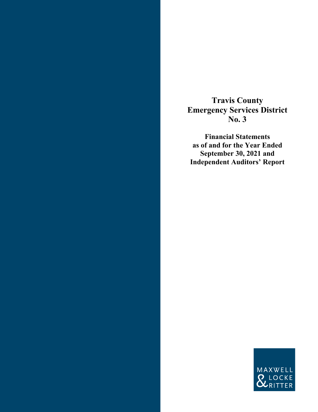**Financial Statements as of and for the Year Ended September 30, 2021 and Independent Auditors' Report** 

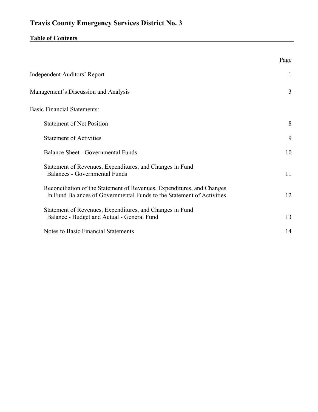## **Table of Contents**

|                                                                                                                                                 | Page           |
|-------------------------------------------------------------------------------------------------------------------------------------------------|----------------|
| <b>Independent Auditors' Report</b>                                                                                                             | 1              |
| Management's Discussion and Analysis                                                                                                            | $\overline{3}$ |
| <b>Basic Financial Statements:</b>                                                                                                              |                |
| <b>Statement of Net Position</b>                                                                                                                | 8              |
| <b>Statement of Activities</b>                                                                                                                  | 9              |
| <b>Balance Sheet - Governmental Funds</b>                                                                                                       | 10             |
| Statement of Revenues, Expenditures, and Changes in Fund<br><b>Balances - Governmental Funds</b>                                                | 11             |
| Reconciliation of the Statement of Revenues, Expenditures, and Changes<br>In Fund Balances of Governmental Funds to the Statement of Activities | 12             |
| Statement of Revenues, Expenditures, and Changes in Fund<br>Balance - Budget and Actual - General Fund                                          | 13             |
| Notes to Basic Financial Statements                                                                                                             | 14             |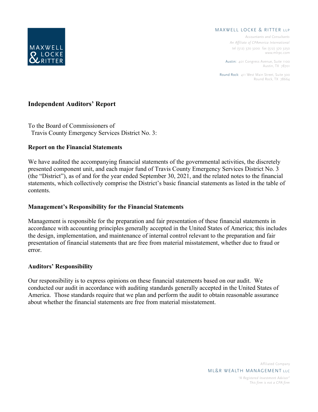

#### MAXWELL LOCKE & RITTER LLP

*Accountants and Consultants An Affiliate of CPAmerica International* tel (512) 370 3200 fax (512) 370 3250 www.mlrpc.com

Austin: 401 Congress Avenue, Suite 1100 Austin, TX 78701

Round Rock: 411 West Main Street, Suite 300 Round Rock, TX 78664

## **Independent Auditors' Report**

To the Board of Commissioners of Travis County Emergency Services District No. 3:

### **Report on the Financial Statements**

We have audited the accompanying financial statements of the governmental activities, the discretely presented component unit, and each major fund of Travis County Emergency Services District No. 3 (the "District"), as of and for the year ended September 30, 2021, and the related notes to the financial statements, which collectively comprise the District's basic financial statements as listed in the table of contents.

#### **Management's Responsibility for the Financial Statements**

Management is responsible for the preparation and fair presentation of these financial statements in accordance with accounting principles generally accepted in the United States of America; this includes the design, implementation, and maintenance of internal control relevant to the preparation and fair presentation of financial statements that are free from material misstatement, whether due to fraud or error.

## **Auditors' Responsibility**

Our responsibility is to express opinions on these financial statements based on our audit. We conducted our audit in accordance with auditing standards generally accepted in the United States of America. Those standards require that we plan and perform the audit to obtain reasonable assurance about whether the financial statements are free from material misstatement.

Affiliated Company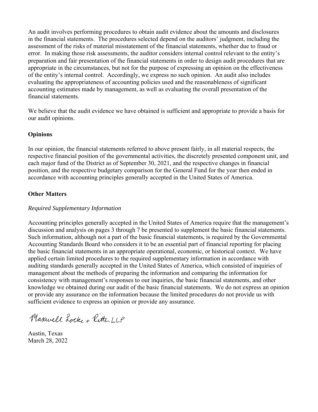An audit involves performing procedures to obtain audit evidence about the amounts and disclosures in the financial statements. The procedures selected depend on the auditors' judgment, including the assessment of the risks of material misstatement of the financial statements, whether due to fraud or error. In making those risk assessments, the auditor considers internal control relevant to the entity's preparation and fair presentation of the financial statements in order to design audit procedures that are appropriate in the circumstances, but not for the purpose of expressing an opinion on the effectiveness of the entity's internal control. Accordingly, we express no such opinion. An audit also includes evaluating the appropriateness of accounting policies used and the reasonableness of significant accounting estimates made by management, as well as evaluating the overall presentation of the financial statements.

We believe that the audit evidence we have obtained is sufficient and appropriate to provide a basis for our audit opinions.

#### **Opinions**

In our opinion, the financial statements referred to above present fairly, in all material respects, the respective financial position of the governmental activities, the discretely presented component unit, and each major fund of the District as of September 30, 2021, and the respective changes in financial position, and the respective budgetary comparison for the General Fund for the year then ended in accordance with accounting principles generally accepted in the United States of America.

### **Other Matters**

#### *Required Supplementary Information*

Accounting principles generally accepted in the United States of America require that the management's discussion and analysis on pages 3 through 7 be presented to supplement the basic financial statements. Such information, although not a part of the basic financial statements, is required by the Governmental Accounting Standards Board who considers it to be an essential part of financial reporting for placing the basic financial statements in an appropriate operational, economic, or historical context. We have applied certain limited procedures to the required supplementary information in accordance with auditing standards generally accepted in the United States of America, which consisted of inquiries of management about the methods of preparing the information and comparing the information for consistency with management's responses to our inquiries, the basic financial statements, and other knowledge we obtained during our audit of the basic financial statements. We do not express an opinion or provide any assurance on the information because the limited procedures do not provide us with sufficient evidence to express an opinion or provide any assurance.

Maxwell Locke + Ritter LLP

Austin, Texas March 28, 2022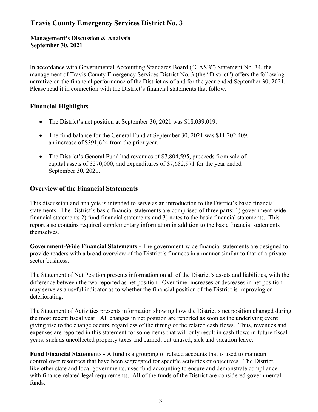### **Management's Discussion & Analysis September 30, 2021**

In accordance with Governmental Accounting Standards Board ("GASB") Statement No. 34, the management of Travis County Emergency Services District No. 3 (the "District") offers the following narrative on the financial performance of the District as of and for the year ended September 30, 2021. Please read it in connection with the District's financial statements that follow.

## **Financial Highlights**

- The District's net position at September 30, 2021 was \$18,039,019.
- The fund balance for the General Fund at September 30, 2021 was \$11,202,409, an increase of \$391,624 from the prior year.
- The District's General Fund had revenues of \$7,804,595, proceeds from sale of capital assets of \$270,000, and expenditures of \$7,682,971 for the year ended September 30, 2021.

## **Overview of the Financial Statements**

This discussion and analysis is intended to serve as an introduction to the District's basic financial statements. The District's basic financial statements are comprised of three parts: 1) government-wide financial statements 2) fund financial statements and 3) notes to the basic financial statements. This report also contains required supplementary information in addition to the basic financial statements themselves*.* 

**Government-Wide Financial Statements -** The government-wide financial statements are designed to provide readers with a broad overview of the District's finances in a manner similar to that of a private sector business.

The Statement of Net Position presents information on all of the District's assets and liabilities, with the difference between the two reported as net position. Over time, increases or decreases in net position may serve as a useful indicator as to whether the financial position of the District is improving or deteriorating.

The Statement of Activities presents information showing how the District's net position changed during the most recent fiscal year. All changes in net position are reported as soon as the underlying event giving rise to the change occurs, regardless of the timing of the related cash flows. Thus, revenues and expenses are reported in this statement for some items that will only result in cash flows in future fiscal years, such as uncollected property taxes and earned, but unused, sick and vacation leave.

**Fund Financial Statements -** A fund is a grouping of related accounts that is used to maintain control over resources that have been segregated for specific activities or objectives. The District, like other state and local governments, uses fund accounting to ensure and demonstrate compliance with finance-related legal requirements. All of the funds of the District are considered governmental funds.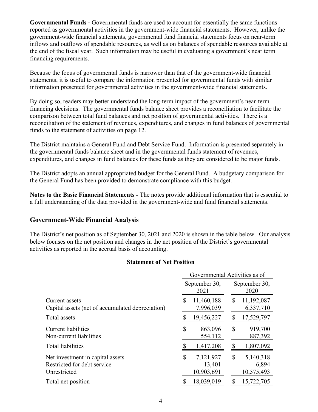**Governmental Funds -** Governmental funds are used to account for essentially the same functions reported as governmental activities in the government-wide financial statements. However, unlike the government-wide financial statements, governmental fund financial statements focus on near-term inflows and outflows of spendable resources, as well as on balances of spendable resources available at the end of the fiscal year. Such information may be useful in evaluating a government's near term financing requirements.

Because the focus of governmental funds is narrower than that of the government-wide financial statements, it is useful to compare the information presented for governmental funds with similar information presented for governmental activities in the government-wide financial statements.

By doing so, readers may better understand the long-term impact of the government's near-term financing decisions. The governmental funds balance sheet provides a reconciliation to facilitate the comparison between total fund balances and net position of governmental activities. There is a reconciliation of the statement of revenues, expenditures, and changes in fund balances of governmental funds to the statement of activities on page 12.

The District maintains a General Fund and Debt Service Fund. Information is presented separately in the governmental funds balance sheet and in the governmental funds statement of revenues, expenditures, and changes in fund balances for these funds as they are considered to be major funds.

The District adopts an annual appropriated budget for the General Fund. A budgetary comparison for the General Fund has been provided to demonstrate compliance with this budget.

**Notes to the Basic Financial Statements -** The notes provide additional information that is essential to a full understanding of the data provided in the government-wide and fund financial statements.

## **Government-Wide Financial Analysis**

The District's net position as of September 30, 2021 and 2020 is shown in the table below. Our analysis below focuses on the net position and changes in the net position of the District's governmental activities as reported in the accrual basis of accounting.

#### **Statement of Net Position**

|                                                                                 | Governmental Activities as of |                                   |               |                                  |  |  |
|---------------------------------------------------------------------------------|-------------------------------|-----------------------------------|---------------|----------------------------------|--|--|
|                                                                                 | September 30,<br>2021         |                                   |               | September 30,<br>2020            |  |  |
| Current assets<br>Capital assets (net of accumulated depreciation)              | \$                            | 11,460,188<br>7,996,039           | \$            | 11,192,087<br>6,337,710          |  |  |
| Total assets                                                                    |                               | 19,456,227                        | \$            | 17,529,797                       |  |  |
| Current liabilities<br>Non-current liabilities                                  | \$                            | 863,096<br>554,112                | $\mathcal{S}$ | 919,700<br>887,392               |  |  |
| <b>Total liabilities</b>                                                        |                               | 1,417,208                         | \$            | 1,807,092                        |  |  |
| Net investment in capital assets<br>Restricted for debt service<br>Unrestricted | $\mathbb{S}$                  | 7,121,927<br>13,401<br>10,903,691 | \$            | 5,140,318<br>6,894<br>10,575,493 |  |  |
| Total net position                                                              |                               | 18,039,019                        |               | 15,722,705                       |  |  |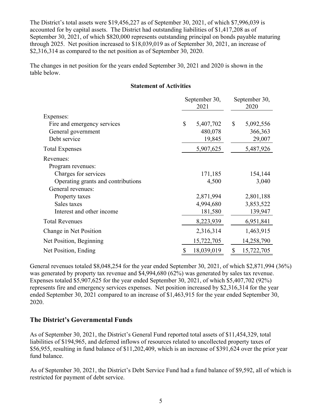The District's total assets were \$19,456,227 as of September 30, 2021, of which \$7,996,039 is accounted for by capital assets. The District had outstanding liabilities of \$1,417,208 as of September 30, 2021, of which \$820,000 represents outstanding principal on bonds payable maturing through 2025. Net position increased to \$18,039,019 as of September 30, 2021, an increase of \$2,316,314 as compared to the net position as of September 30, 2020.

The changes in net position for the years ended September 30, 2021 and 2020 is shown in the table below.

|                                    | September 30,<br>2021     | September 30,<br>2020 |  |  |
|------------------------------------|---------------------------|-----------------------|--|--|
| Expenses:                          |                           |                       |  |  |
| Fire and emergency services        | $\mathbb{S}$<br>5,407,702 | \$<br>5,092,556       |  |  |
| General government                 | 480,078                   | 366,363               |  |  |
| Debt service                       | 19,845                    | 29,007                |  |  |
| <b>Total Expenses</b>              | 5,907,625                 | 5,487,926             |  |  |
| Revenues:                          |                           |                       |  |  |
| Program revenues:                  |                           |                       |  |  |
| Charges for services               | 171,185                   | 154,144               |  |  |
| Operating grants and contributions | 4,500                     | 3,040                 |  |  |
| General revenues:                  |                           |                       |  |  |
| Property taxes                     | 2,871,994                 | 2,801,188             |  |  |
| Sales taxes                        | 4,994,680                 | 3,853,522             |  |  |
| Interest and other income          | 181,580                   | 139,947               |  |  |
| <b>Total Revenues</b>              | 8,223,939                 | 6,951,841             |  |  |
| Change in Net Position             | 2,316,314                 | 1,463,915             |  |  |
| Net Position, Beginning            | 15,722,705                | 14,258,790            |  |  |
| Net Position, Ending               | 18,039,019                | \$<br>15,722,705      |  |  |

## **Statement of Activities**

General revenues totaled \$8,048,254 for the year ended September 30, 2021, of which \$2,871,994 (36%) was generated by property tax revenue and \$4,994,680 (62%) was generated by sales tax revenue. Expenses totaled \$5,907,625 for the year ended September 30, 2021, of which \$5,407,702 (92%) represents fire and emergency services expenses. Net position increased by \$2,316,314 for the year ended September 30, 2021 compared to an increase of \$1,463,915 for the year ended September 30, 2020.

## **The District's Governmental Funds**

As of September 30, 2021, the District's General Fund reported total assets of \$11,454,329, total liabilities of \$194,965, and deferred inflows of resources related to uncollected property taxes of \$56,955, resulting in fund balance of \$11,202,409, which is an increase of \$391,624 over the prior year fund balance.

As of September 30, 2021, the District's Debt Service Fund had a fund balance of \$9,592, all of which is restricted for payment of debt service.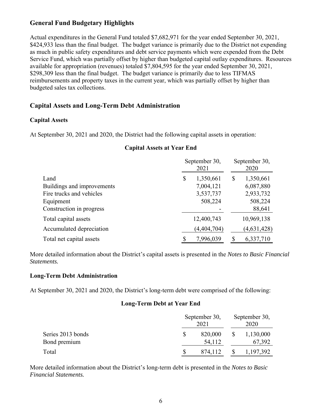## **General Fund Budgetary Highlights**

Actual expenditures in the General Fund totaled \$7,682,971 for the year ended September 30, 2021, \$424,933 less than the final budget. The budget variance is primarily due to the District not expending as much in public safety expenditures and debt service payments which were expended from the Debt Service Fund, which was partially offset by higher than budgeted capital outlay expenditures. Resources available for appropriation (revenues) totaled \$7,804,595 for the year ended September 30, 2021, \$298,309 less than the final budget. The budget variance is primarily due to less TIFMAS reimbursements and property taxes in the current year, which was partially offset by higher than budgeted sales tax collections.

## **Capital Assets and Long-Term Debt Administration**

## **Capital Assets**

At September 30, 2021 and 2020, the District had the following capital assets in operation:

### **Capital Assets at Year End**

|                            | September 30,<br>2021 |    |             |
|----------------------------|-----------------------|----|-------------|
| Land                       | \$<br>1,350,661       | S  | 1,350,661   |
| Buildings and improvements | 7,004,121             |    | 6,087,880   |
| Fire trucks and vehicles   | 3,537,737             |    | 2,933,732   |
| Equipment                  | 508,224               |    | 508,224     |
| Construction in progress   |                       |    | 88,641      |
| Total capital assets       | 12,400,743            |    | 10,969,138  |
| Accumulated depreciation   | (4,404,704)           |    | (4,631,428) |
| Total net capital assets   | \$<br>7,996,039       | \$ | 6,337,710   |

More detailed information about the District's capital assets is presented in the *Notes to Basic Financial Statements.* 

## **Long-Term Debt Administration**

At September 30, 2021 and 2020, the District's long-term debt were comprised of the following:

#### **Long-Term Debt at Year End**

|                                   |  | September 30,<br>2021 | September 30,<br>2020 |                     |  |
|-----------------------------------|--|-----------------------|-----------------------|---------------------|--|
| Series 2013 bonds<br>Bond premium |  | 820,000<br>54,112     |                       | 1,130,000<br>67,392 |  |
| Total                             |  | 874,112               |                       | 1,197,392           |  |

More detailed information about the District's long-term debt is presented in the *Notes to Basic Financial Statements.*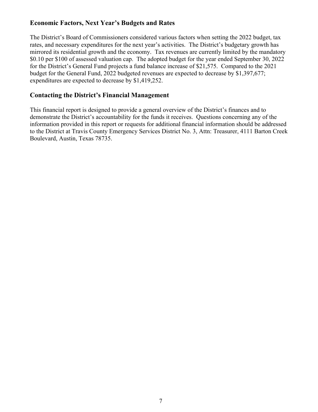## **Economic Factors, Next Year's Budgets and Rates**

The District's Board of Commissioners considered various factors when setting the 2022 budget, tax rates, and necessary expenditures for the next year's activities. The District's budgetary growth has mirrored its residential growth and the economy. Tax revenues are currently limited by the mandatory \$0.10 per \$100 of assessed valuation cap. The adopted budget for the year ended September 30, 2022 for the District's General Fund projects a fund balance increase of \$21,575. Compared to the 2021 budget for the General Fund, 2022 budgeted revenues are expected to decrease by \$1,397,677; expenditures are expected to decrease by \$1,419,252.

## **Contacting the District's Financial Management**

This financial report is designed to provide a general overview of the District's finances and to demonstrate the District's accountability for the funds it receives. Questions concerning any of the information provided in this report or requests for additional financial information should be addressed to the District at Travis County Emergency Services District No. 3, Attn: Treasurer, 4111 Barton Creek Boulevard, Austin, Texas 78735.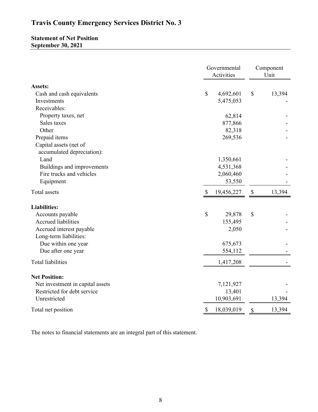## **Statement of Net Position September 30, 2021**

| Assets:<br>\$<br>4,692,601<br>Cash and cash equivalents<br>5,475,053<br>Investments<br>Receivables: | \$                        | 13,394 |
|-----------------------------------------------------------------------------------------------------|---------------------------|--------|
|                                                                                                     |                           |        |
|                                                                                                     |                           |        |
|                                                                                                     |                           |        |
|                                                                                                     |                           |        |
| Property taxes, net<br>62,814                                                                       |                           |        |
| Sales taxes<br>877,866                                                                              |                           |        |
| Other<br>82,318                                                                                     |                           |        |
| 269,536<br>Prepaid items                                                                            |                           |        |
| Capital assets (net of                                                                              |                           |        |
| accumulated depreciation):                                                                          |                           |        |
| Land<br>1,350,661                                                                                   |                           |        |
| 4,531,368<br>Buildings and improvements                                                             |                           |        |
| Fire trucks and vehicles<br>2,060,460                                                               |                           |        |
| Equipment<br>53,550                                                                                 |                           |        |
| Total assets<br>19,456,227<br>$\mathbb{S}$                                                          | $\mathbb S$               | 13,394 |
| <b>Liabilities:</b>                                                                                 |                           |        |
| $\mathcal{S}$<br>Accounts payable<br>29,878                                                         | $\mathbb{S}$              |        |
| <b>Accrued liabilities</b><br>155,495                                                               |                           |        |
| Accrued interest payable<br>2,050                                                                   |                           |        |
| Long-term liabilities:                                                                              |                           |        |
| Due within one year<br>675,673                                                                      |                           |        |
| Due after one year<br>554,112                                                                       |                           |        |
| <b>Total liabilities</b><br>1,417,208                                                               |                           |        |
| <b>Net Position:</b>                                                                                |                           |        |
| Net investment in capital assets<br>7,121,927                                                       |                           |        |
| Restricted for debt service<br>13,401                                                               |                           |        |
| Unrestricted<br>10,903,691                                                                          |                           | 13,394 |
| $\boldsymbol{\mathsf{S}}$<br>18,039,019<br>Total net position                                       | $\boldsymbol{\mathsf{S}}$ | 13,394 |

The notes to financial statements are an integral part of this statement.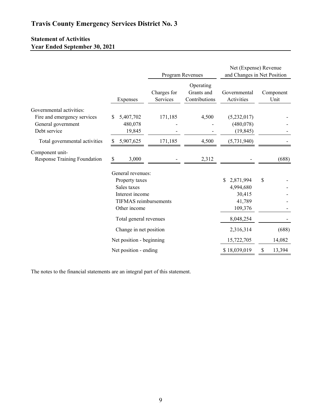## **Statement of Activities Year Ended September 30, 2021**

|                                                                                               |                                                                                                                       | Program Revenues        |                                          | Net (Expense) Revenue<br>and Changes in Net Position        |                   |
|-----------------------------------------------------------------------------------------------|-----------------------------------------------------------------------------------------------------------------------|-------------------------|------------------------------------------|-------------------------------------------------------------|-------------------|
|                                                                                               | Expenses                                                                                                              | Charges for<br>Services | Operating<br>Grants and<br>Contributions | Governmental<br>Activities                                  | Component<br>Unit |
| Governmental activities:<br>Fire and emergency services<br>General government<br>Debt service | 5,407,702<br>480,078<br>19,845                                                                                        | 171,185                 | 4,500                                    | (5,232,017)<br>(480,078)<br>(19, 845)                       |                   |
| Total governmental activities                                                                 | 5,907,625                                                                                                             | 171,185                 | 4,500                                    | (5,731,940)                                                 |                   |
| Component unit-<br><b>Response Training Foundation</b>                                        | 3,000                                                                                                                 |                         | 2,312                                    |                                                             | (688)             |
|                                                                                               | General revenues:<br>Property taxes<br>Sales taxes<br>Interest income<br><b>TIFMAS</b> reimbursements<br>Other income |                         |                                          | \$<br>2,871,994<br>4,994,680<br>30,415<br>41,789<br>109,376 | \$                |
|                                                                                               | Total general revenues                                                                                                |                         |                                          | 8,048,254                                                   |                   |
|                                                                                               | Change in net position<br>Net position - beginning                                                                    |                         |                                          | 2,316,314<br>15,722,705                                     | (688)<br>14,082   |
|                                                                                               | Net position - ending                                                                                                 |                         |                                          | \$18,039,019                                                | \$<br>13,394      |

The notes to the financial statements are an integral part of this statement.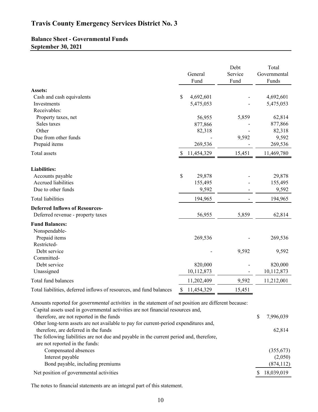## **Balance Sheet - Governmental Funds September 30, 2021**

|                                                                                                                              |               | General<br>Fund        | Debt<br>Service<br>Fund | Total<br>Governmental<br>Funds |
|------------------------------------------------------------------------------------------------------------------------------|---------------|------------------------|-------------------------|--------------------------------|
| Assets:                                                                                                                      |               |                        |                         |                                |
| Cash and cash equivalents<br>Investments                                                                                     | \$            | 4,692,601<br>5,475,053 |                         | 4,692,601<br>5,475,053         |
| Receivables:                                                                                                                 |               |                        |                         |                                |
| Property taxes, net                                                                                                          |               | 56,955                 | 5,859                   | 62,814                         |
| Sales taxes                                                                                                                  |               | 877,866                |                         | 877,866                        |
| Other                                                                                                                        |               | 82,318                 |                         | 82,318                         |
| Due from other funds                                                                                                         |               |                        | 9,592                   | 9,592                          |
| Prepaid items                                                                                                                |               | 269,536                |                         | 269,536                        |
| Total assets                                                                                                                 | <sup>\$</sup> | 11,454,329             | 15,451                  | 11,469,780                     |
| <b>Liabilities:</b>                                                                                                          |               |                        |                         |                                |
| Accounts payable                                                                                                             | \$            | 29,878                 |                         | 29,878                         |
| <b>Accrued liabilities</b>                                                                                                   |               | 155,495                |                         | 155,495                        |
| Due to other funds                                                                                                           |               | 9,592                  |                         | 9,592                          |
| <b>Total liabilities</b>                                                                                                     |               | 194,965                |                         | 194,965                        |
| <b>Deferred Inflows of Resources-</b>                                                                                        |               |                        |                         |                                |
| Deferred revenue - property taxes                                                                                            |               | 56,955                 | 5,859                   | 62,814                         |
| <b>Fund Balances:</b>                                                                                                        |               |                        |                         |                                |
| Nonspendable-                                                                                                                |               |                        |                         |                                |
| Prepaid items                                                                                                                |               | 269,536                |                         | 269,536                        |
| Restricted-                                                                                                                  |               |                        |                         |                                |
| Debt service<br>Committed-                                                                                                   |               |                        | 9,592                   | 9,592                          |
| Debt service                                                                                                                 |               | 820,000                |                         | 820,000                        |
| Unassigned                                                                                                                   |               | 10,112,873             |                         | 10,112,873                     |
| Total fund balances                                                                                                          |               | 11,202,409             | 9,592                   | 11,212,001                     |
| Total liabilities, deferred inflows of resources, and fund balances                                                          | \$            | 11,454,329             | 15,451                  |                                |
| Amounts reported for <i>governmental activities</i> in the statement of net position are different because:                  |               |                        |                         |                                |
| Capital assets used in governmental activities are not financial resources and,                                              |               |                        |                         |                                |
| therefore, are not reported in the funds                                                                                     |               |                        |                         | \$<br>7,996,039                |
| Other long-term assets are not available to pay for current-period expenditures and,<br>therefore, are deferred in the funds |               |                        |                         |                                |
| The following liabilities are not due and payable in the current period and, therefore,                                      |               |                        |                         | 62,814                         |
| are not reported in the funds:                                                                                               |               |                        |                         |                                |
| Compensated absences                                                                                                         |               |                        |                         | (355, 673)                     |
| Interest payable                                                                                                             |               |                        |                         | (2,050)                        |
| Bond payable, including premiums                                                                                             |               |                        |                         | (874, 112)                     |
| Net position of governmental activities                                                                                      |               |                        |                         | 18,039,019<br>\$               |

The notes to financial statements are an integral part of this statement.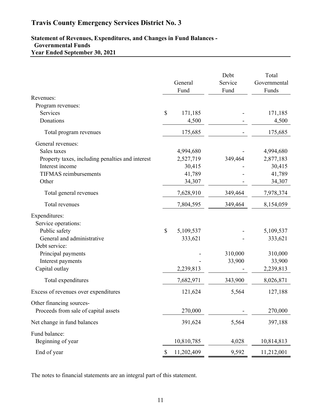## **Statement of Revenues, Expenditures, and Changes in Fund Balances - Governmental Funds Year Ended September 30, 2021**

|                                                  | General<br>Fund |            | Debt<br>Service<br>Fund | Total<br>Governmental<br>Funds |
|--------------------------------------------------|-----------------|------------|-------------------------|--------------------------------|
| Revenues:                                        |                 |            |                         |                                |
| Program revenues:                                |                 |            |                         |                                |
| Services                                         | $\mathbb{S}$    | 171,185    |                         | 171,185                        |
| Donations                                        |                 | 4,500      |                         | 4,500                          |
| Total program revenues                           |                 | 175,685    |                         | 175,685                        |
| General revenues:                                |                 |            |                         |                                |
| Sales taxes                                      |                 | 4,994,680  |                         | 4,994,680                      |
| Property taxes, including penalties and interest |                 | 2,527,719  | 349,464                 | 2,877,183                      |
| Interest income                                  |                 | 30,415     |                         | 30,415                         |
| <b>TIFMAS</b> reimbursements                     |                 | 41,789     |                         | 41,789                         |
| Other                                            |                 | 34,307     |                         | 34,307                         |
| Total general revenues                           |                 | 7,628,910  | 349,464                 | 7,978,374                      |
| Total revenues                                   |                 | 7,804,595  | 349,464                 | 8,154,059                      |
| Expenditures:                                    |                 |            |                         |                                |
| Service operations:                              |                 |            |                         |                                |
| Public safety                                    | $\mathbb{S}$    | 5,109,537  |                         | 5,109,537                      |
| General and administrative                       |                 | 333,621    |                         | 333,621                        |
| Debt service:                                    |                 |            |                         |                                |
| Principal payments                               |                 |            | 310,000                 | 310,000                        |
| Interest payments                                |                 |            | 33,900                  | 33,900                         |
| Capital outlay                                   |                 | 2,239,813  |                         | 2,239,813                      |
| Total expenditures                               |                 | 7,682,971  | 343,900                 | 8,026,871                      |
| Excess of revenues over expenditures             |                 | 121,624    | 5,564                   | 127,188                        |
| Other financing sources-                         |                 |            |                         |                                |
| Proceeds from sale of capital assets             |                 | 270,000    |                         | 270,000                        |
| Net change in fund balances                      |                 | 391,624    | 5,564                   | 397,188                        |
| Fund balance:                                    |                 |            |                         |                                |
| Beginning of year                                |                 | 10,810,785 | 4,028                   | 10,814,813                     |
| End of year                                      |                 | 11,202,409 | 9,592                   | 11,212,001                     |

The notes to financial statements are an integral part of this statement.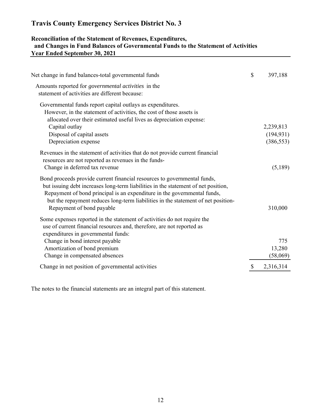## **Reconciliation of the Statement of Revenues, Expenditures, and Changes in Fund Balances of Governmental Funds to the Statement of Activities Year Ended September 30, 2021**

| Net change in fund balances-total governmental funds                                                                                                                                                                                                                                                                                                         | \$<br>397,188   |
|--------------------------------------------------------------------------------------------------------------------------------------------------------------------------------------------------------------------------------------------------------------------------------------------------------------------------------------------------------------|-----------------|
| Amounts reported for <i>governmental activities</i> in the<br>statement of activities are different because:                                                                                                                                                                                                                                                 |                 |
| Governmental funds report capital outlays as expenditures.<br>However, in the statement of activities, the cost of those assets is<br>allocated over their estimated useful lives as depreciation expense:                                                                                                                                                   |                 |
| Capital outlay                                                                                                                                                                                                                                                                                                                                               | 2,239,813       |
| Disposal of capital assets                                                                                                                                                                                                                                                                                                                                   | (194, 931)      |
| Depreciation expense                                                                                                                                                                                                                                                                                                                                         | (386, 553)      |
| Revenues in the statement of activities that do not provide current financial<br>resources are not reported as revenues in the funds-<br>Change in deferred tax revenue                                                                                                                                                                                      | (5,189)         |
|                                                                                                                                                                                                                                                                                                                                                              |                 |
| Bond proceeds provide current financial resources to governmental funds,<br>but issuing debt increases long-term liabilities in the statement of net position,<br>Repayment of bond principal is an expenditure in the governmental funds,<br>but the repayment reduces long-term liabilities in the statement of net position-<br>Repayment of bond payable | 310,000         |
| Some expenses reported in the statement of activities do not require the<br>use of current financial resources and, therefore, are not reported as<br>expenditures in governmental funds:                                                                                                                                                                    |                 |
| Change in bond interest payable                                                                                                                                                                                                                                                                                                                              | 775             |
| Amortization of bond premium                                                                                                                                                                                                                                                                                                                                 | 13,280          |
| Change in compensated absences                                                                                                                                                                                                                                                                                                                               | (58,069)        |
| Change in net position of governmental activities                                                                                                                                                                                                                                                                                                            | \$<br>2,316,314 |

The notes to the financial statements are an integral part of this statement.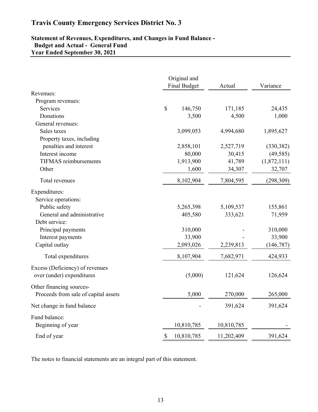## **Statement of Revenues, Expenditures, and Changes in Fund Balance - Budget and Actual - General Fund Year Ended September 30, 2021**

|                                                                  | Original and<br><b>Final Budget</b> |            | Actual     | Variance    |
|------------------------------------------------------------------|-------------------------------------|------------|------------|-------------|
| Revenues:                                                        |                                     |            |            |             |
| Program revenues:                                                |                                     |            |            |             |
| Services                                                         | \$                                  | 146,750    | 171,185    | 24,435      |
| Donations                                                        |                                     | 3,500      | 4,500      | 1,000       |
| General revenues:                                                |                                     |            |            |             |
| Sales taxes                                                      |                                     | 3,099,053  | 4,994,680  | 1,895,627   |
| Property taxes, including                                        |                                     |            |            |             |
| penalties and interest                                           |                                     | 2,858,101  | 2,527,719  | (330, 382)  |
| Interest income                                                  |                                     | 80,000     | 30,415     | (49, 585)   |
| <b>TIFMAS</b> reimbursements                                     |                                     | 1,913,900  | 41,789     | (1,872,111) |
| Other                                                            |                                     | 1,600      | 34,307     | 32,707      |
| Total revenues                                                   |                                     | 8,102,904  | 7,804,595  | (298, 309)  |
| Expenditures:                                                    |                                     |            |            |             |
| Service operations:                                              |                                     |            |            |             |
| Public safety                                                    |                                     | 5,265,398  | 5,109,537  | 155,861     |
| General and administrative                                       |                                     | 405,580    | 333,621    | 71,959      |
| Debt service:                                                    |                                     |            |            |             |
| Principal payments                                               |                                     | 310,000    |            | 310,000     |
| Interest payments                                                |                                     | 33,900     |            | 33,900      |
| Capital outlay                                                   |                                     | 2,093,026  | 2,239,813  | (146, 787)  |
| Total expenditures                                               |                                     | 8,107,904  | 7,682,971  | 424,933     |
| Excess (Deficiency) of revenues<br>over (under) expenditures     |                                     | (5,000)    | 121,624    | 126,624     |
| Other financing sources-<br>Proceeds from sale of capital assets |                                     | 5,000      | 270,000    | 265,000     |
| Net change in fund balance                                       |                                     |            | 391,624    | 391,624     |
| Fund balance:                                                    |                                     |            |            |             |
| Beginning of year                                                |                                     | 10,810,785 | 10,810,785 |             |
| End of year                                                      | \$                                  | 10,810,785 | 11,202,409 | 391,624     |

The notes to financial statements are an integral part of this statement.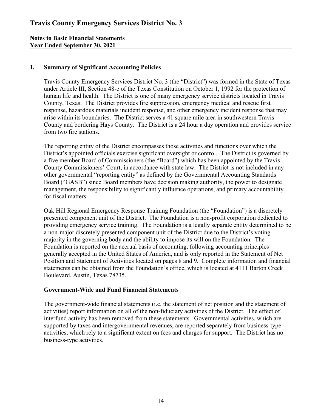#### **Notes to Basic Financial Statements Year Ended September 30, 2021**

## **1. Summary of Significant Accounting Policies**

Travis County Emergency Services District No. 3 (the "District") was formed in the State of Texas under Article III, Section 48-e of the Texas Constitution on October 1, 1992 for the protection of human life and health. The District is one of many emergency service districts located in Travis County, Texas. The District provides fire suppression, emergency medical and rescue first response, hazardous materials incident response, and other emergency incident response that may arise within its boundaries. The District serves a 41 square mile area in southwestern Travis County and bordering Hays County. The District is a 24 hour a day operation and provides service from two fire stations.

The reporting entity of the District encompasses those activities and functions over which the District's appointed officials exercise significant oversight or control. The District is governed by a five member Board of Commissioners (the "Board") which has been appointed by the Travis County Commissioners' Court, in accordance with state law. The District is not included in any other governmental "reporting entity" as defined by the Governmental Accounting Standards Board ("GASB") since Board members have decision making authority, the power to designate management, the responsibility to significantly influence operations, and primary accountability for fiscal matters.

Oak Hill Regional Emergency Response Training Foundation (the "Foundation") is a discretely presented component unit of the District. The Foundation is a non-profit corporation dedicated to providing emergency service training. The Foundation is a legally separate entity determined to be a non-major discretely presented component unit of the District due to the District's voting majority in the governing body and the ability to impose its will on the Foundation. The Foundation is reported on the accrual basis of accounting, following accounting principles generally accepted in the United States of America, and is only reported in the Statement of Net Position and Statement of Activities located on pages 8 and 9. Complete information and financial statements can be obtained from the Foundation's office, which is located at 4111 Barton Creek Boulevard, Austin, Texas 78735.

#### **Government-Wide and Fund Financial Statements**

The government-wide financial statements (i.e. the statement of net position and the statement of activities) report information on all of the non-fiduciary activities of the District. The effect of interfund activity has been removed from these statements. Governmental activities, which are supported by taxes and intergovernmental revenues, are reported separately from business-type activities, which rely to a significant extent on fees and charges for support. The District has no business-type activities.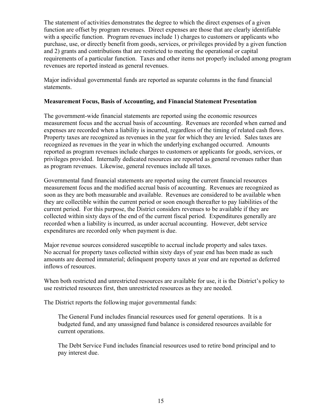The statement of activities demonstrates the degree to which the direct expenses of a given function are offset by program revenues. Direct expenses are those that are clearly identifiable with a specific function. Program revenues include 1) charges to customers or applicants who purchase, use, or directly benefit from goods, services, or privileges provided by a given function and 2) grants and contributions that are restricted to meeting the operational or capital requirements of a particular function. Taxes and other items not properly included among program revenues are reported instead as general revenues.

Major individual governmental funds are reported as separate columns in the fund financial statements.

### **Measurement Focus, Basis of Accounting, and Financial Statement Presentation**

The government-wide financial statements are reported using the economic resources measurement focus and the accrual basis of accounting. Revenues are recorded when earned and expenses are recorded when a liability is incurred, regardless of the timing of related cash flows. Property taxes are recognized as revenues in the year for which they are levied. Sales taxes are recognized as revenues in the year in which the underlying exchanged occurred. Amounts reported as program revenues include charges to customers or applicants for goods, services, or privileges provided. Internally dedicated resources are reported as general revenues rather than as program revenues. Likewise, general revenues include all taxes.

Governmental fund financial statements are reported using the current financial resources measurement focus and the modified accrual basis of accounting. Revenues are recognized as soon as they are both measurable and available. Revenues are considered to be available when they are collectible within the current period or soon enough thereafter to pay liabilities of the current period. For this purpose, the District considers revenues to be available if they are collected within sixty days of the end of the current fiscal period. Expenditures generally are recorded when a liability is incurred, as under accrual accounting. However, debt service expenditures are recorded only when payment is due.

Major revenue sources considered susceptible to accrual include property and sales taxes. No accrual for property taxes collected within sixty days of year end has been made as such amounts are deemed immaterial; delinquent property taxes at year end are reported as deferred inflows of resources.

When both restricted and unrestricted resources are available for use, it is the District's policy to use restricted resources first, then unrestricted resources as they are needed.

The District reports the following major governmental funds:

The General Fund includes financial resources used for general operations. It is a budgeted fund, and any unassigned fund balance is considered resources available for current operations.

The Debt Service Fund includes financial resources used to retire bond principal and to pay interest due.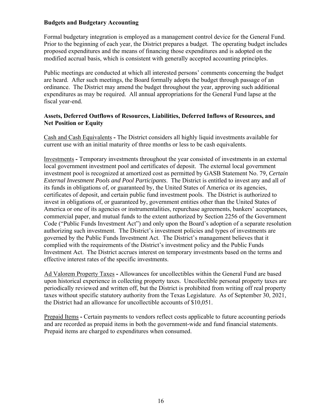### **Budgets and Budgetary Accounting**

Formal budgetary integration is employed as a management control device for the General Fund. Prior to the beginning of each year, the District prepares a budget. The operating budget includes proposed expenditures and the means of financing those expenditures and is adopted on the modified accrual basis, which is consistent with generally accepted accounting principles.

Public meetings are conducted at which all interested persons' comments concerning the budget are heard. After such meetings, the Board formally adopts the budget through passage of an ordinance. The District may amend the budget throughout the year, approving such additional expenditures as may be required. All annual appropriations for the General Fund lapse at the fiscal year-end.

## **Assets, Deferred Outflows of Resources, Liabilities, Deferred Inflows of Resources, and Net Position or Equity**

Cash and Cash Equivalents **-** The District considers all highly liquid investments available for current use with an initial maturity of three months or less to be cash equivalents.

Investments **-** Temporary investments throughout the year consisted of investments in an external local government investment pool and certificates of deposit. The external local government investment pool is recognized at amortized cost as permitted by GASB Statement No. 79, *Certain External Investment Pools and Pool Participants*. The District is entitled to invest any and all of its funds in obligations of, or guaranteed by, the United States of America or its agencies, certificates of deposit, and certain public fund investment pools. The District is authorized to invest in obligations of, or guaranteed by, government entities other than the United States of America or one of its agencies or instrumentalities, repurchase agreements, bankers' acceptances, commercial paper, and mutual funds to the extent authorized by Section 2256 of the Government Code ("Public Funds Investment Act") and only upon the Board's adoption of a separate resolution authorizing such investment. The District's investment policies and types of investments are governed by the Public Funds Investment Act. The District's management believes that it complied with the requirements of the District's investment policy and the Public Funds Investment Act. The District accrues interest on temporary investments based on the terms and effective interest rates of the specific investments.

Ad Valorem Property Taxes **-** Allowances for uncollectibles within the General Fund are based upon historical experience in collecting property taxes. Uncollectible personal property taxes are periodically reviewed and written off, but the District is prohibited from writing off real property taxes without specific statutory authority from the Texas Legislature. As of September 30, 2021, the District had an allowance for uncollectible accounts of \$10,051.

Prepaid Items **-** Certain payments to vendors reflect costs applicable to future accounting periods and are recorded as prepaid items in both the government-wide and fund financial statements. Prepaid items are charged to expenditures when consumed.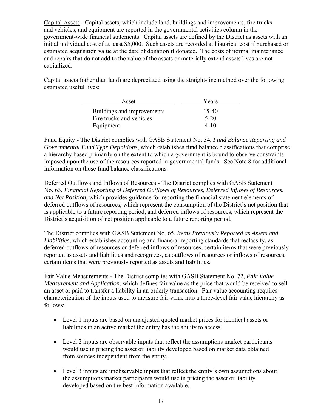Capital Assets **-** Capital assets, which include land, buildings and improvements, fire trucks and vehicles, and equipment are reported in the governmental activities column in the government-wide financial statements. Capital assets are defined by the District as assets with an initial individual cost of at least \$5,000. Such assets are recorded at historical cost if purchased or estimated acquisition value at the date of donation if donated. The costs of normal maintenance and repairs that do not add to the value of the assets or materially extend assets lives are not capitalized.

Capital assets (other than land) are depreciated using the straight-line method over the following estimated useful lives:

| Years     |
|-----------|
| $15 - 40$ |
| $5-20$    |
| $4 - 10$  |
|           |

Fund Equity **-** The District complies with GASB Statement No. 54, *Fund Balance Reporting and Governmental Fund Type Definitions*, which establishes fund balance classifications that comprise a hierarchy based primarily on the extent to which a government is bound to observe constraints imposed upon the use of the resources reported in governmental funds. See Note 8 for additional information on those fund balance classifications.

Deferred Outflows and Inflows of Resources **-** The District complies with GASB Statement No. 63, *Financial Reporting of Deferred Outflows of Resources, Deferred Inflows of Resources, and Net Position*, which provides guidance for reporting the financial statement elements of deferred outflows of resources, which represent the consumption of the District's net position that is applicable to a future reporting period, and deferred inflows of resources, which represent the District's acquisition of net position applicable to a future reporting period.

The District complies with GASB Statement No. 65, *Items Previously Reported as Assets and Liabilities*, which establishes accounting and financial reporting standards that reclassify, as deferred outflows of resources or deferred inflows of resources, certain items that were previously reported as assets and liabilities and recognizes, as outflows of resources or inflows of resources, certain items that were previously reported as assets and liabilities.

Fair Value Measurements **-** The District complies with GASB Statement No. 72, *Fair Value Measurement and Application*, which defines fair value as the price that would be received to sell an asset or paid to transfer a liability in an orderly transaction. Fair value accounting requires characterization of the inputs used to measure fair value into a three-level fair value hierarchy as follows:

- Level 1 inputs are based on unadjusted quoted market prices for identical assets or liabilities in an active market the entity has the ability to access.
- Level 2 inputs are observable inputs that reflect the assumptions market participants would use in pricing the asset or liability developed based on market data obtained from sources independent from the entity.
- Level 3 inputs are unobservable inputs that reflect the entity's own assumptions about the assumptions market participants would use in pricing the asset or liability developed based on the best information available.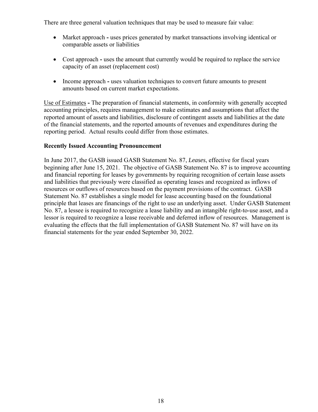There are three general valuation techniques that may be used to measure fair value:

- Market approach uses prices generated by market transactions involving identical or comparable assets or liabilities
- Cost approach **-** uses the amount that currently would be required to replace the service capacity of an asset (replacement cost)
- Income approach **-** uses valuation techniques to convert future amounts to present amounts based on current market expectations.

Use of Estimates **-** The preparation of financial statements, in conformity with generally accepted accounting principles, requires management to make estimates and assumptions that affect the reported amount of assets and liabilities, disclosure of contingent assets and liabilities at the date of the financial statements, and the reported amounts of revenues and expenditures during the reporting period. Actual results could differ from those estimates.

### **Recently Issued Accounting Pronouncement**

In June 2017, the GASB issued GASB Statement No. 87, *Leases*, effective for fiscal years beginning after June 15, 2021. The objective of GASB Statement No. 87 is to improve accounting and financial reporting for leases by governments by requiring recognition of certain lease assets and liabilities that previously were classified as operating leases and recognized as inflows of resources or outflows of resources based on the payment provisions of the contract. GASB Statement No. 87 establishes a single model for lease accounting based on the foundational principle that leases are financings of the right to use an underlying asset. Under GASB Statement No. 87, a lessee is required to recognize a lease liability and an intangible right-to-use asset, and a lessor is required to recognize a lease receivable and deferred inflow of resources. Management is evaluating the effects that the full implementation of GASB Statement No. 87 will have on its financial statements for the year ended September 30, 2022.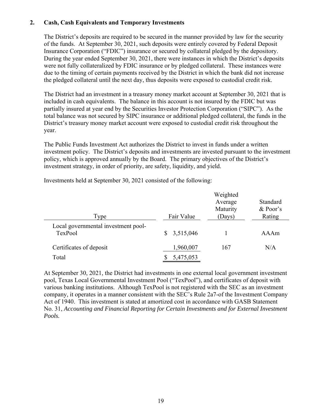## **2. Cash, Cash Equivalents and Temporary Investments**

The District's deposits are required to be secured in the manner provided by law for the security of the funds. At September 30, 2021, such deposits were entirely covered by Federal Deposit Insurance Corporation ("FDIC") insurance or secured by collateral pledged by the depository. During the year ended September 30, 2021, there were instances in which the District's deposits were not fully collateralized by FDIC insurance or by pledged collateral. These instances were due to the timing of certain payments received by the District in which the bank did not increase the pledged collateral until the next day, thus deposits were exposed to custodial credit risk.

The District had an investment in a treasury money market account at September 30, 2021 that is included in cash equivalents. The balance in this account is not insured by the FDIC but was partially insured at year end by the Securities Investor Protection Corporation ("SIPC"). As the total balance was not secured by SIPC insurance or additional pledged collateral, the funds in the District's treasury money market account were exposed to custodial credit risk throughout the year.

The Public Funds Investment Act authorizes the District to invest in funds under a written investment policy. The District's deposits and investments are invested pursuant to the investment policy, which is approved annually by the Board. The primary objectives of the District's investment strategy, in order of priority, are safety, liquidity, and yield.

Type Fair Value Weighted Average Maturity (Days) Standard & Poor's Rating Local governmental investment pool-TexPool \$ 3,515,046 1 AAAm Certificates of deposit 1,960,007 167 N/A Total \$ 5,475,053

Investments held at September 30, 2021 consisted of the following:

At September 30, 2021, the District had investments in one external local government investment pool, Texas Local Governmental Investment Pool ("TexPool"), and certificates of deposit with various banking institutions. Although TexPool is not registered with the SEC as an investment company, it operates in a manner consistent with the SEC's Rule 2a7-of the Investment Company Act of 1940. This investment is stated at amortized cost in accordance with GASB Statement No. 31, *Accounting and Financial Reporting for Certain Investments and for External Investment Pools.*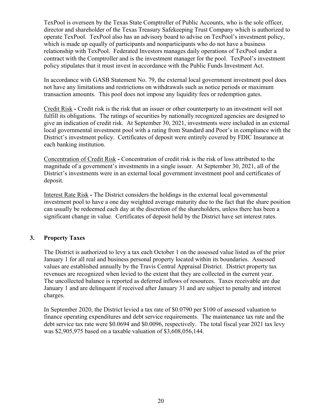TexPool is overseen by the Texas State Comptroller of Public Accounts, who is the sole officer, director and shareholder of the Texas Treasury Safekeeping Trust Company which is authorized to operate TexPool. TexPool also has an advisory board to advise on TexPool's investment policy, which is made up equally of participants and nonparticipants who do not have a business relationship with TexPool. Federated Investors manages daily operations of TexPool under a contract with the Comptroller and is the investment manager for the pool. TexPool's investment policy stipulates that it must invest in accordance with the Public Funds Investment Act.

In accordance with GASB Statement No. 79, the external local government investment pool does not have any limitations and restrictions on withdrawals such as notice periods or maximum transaction amounts. This pool does not impose any liquidity fees or redemption gates.

Credit Risk **-** Credit risk is the risk that an issuer or other counterparty to an investment will not fulfill its obligations. The ratings of securities by nationally recognized agencies are designed to give an indication of credit risk. At September 30, 2021, investments were included in an external local governmental investment pool with a rating from Standard and Poor's in compliance with the District's investment policy. Certificates of deposit were entirely covered by FDIC Insurance at each banking institution.

Concentration of Credit Risk **-** Concentration of credit risk is the risk of loss attributed to the magnitude of a government's investments in a single issuer. At September 30, 2021, all of the District's investments were in an external local government investment pool and certificates of deposit.

Interest Rate Risk **-** The District considers the holdings in the external local governmental investment pool to have a one day weighted average maturity due to the fact that the share position can usually be redeemed each day at the discretion of the shareholders, unless there has been a significant change in value. Certificates of deposit held by the District have set interest rates.

## **3. Property Taxes**

The District is authorized to levy a tax each October 1 on the assessed value listed as of the prior January 1 for all real and business personal property located within its boundaries. Assessed values are established annually by the Travis Central Appraisal District. District property tax revenues are recognized when levied to the extent that they are collected in the current year. The uncollected balance is reported as deferred inflows of resources. Taxes receivable are due January 1 and are delinquent if received after January 31 and are subject to penalty and interest charges.

In September 2020, the District levied a tax rate of \$0.0790 per \$100 of assessed valuation to finance operating expenditures and debt service requirements. The maintenance tax rate and the debt service tax rate were \$0.0694 and \$0.0096, respectively. The total fiscal year 2021 tax levy was \$2,905,975 based on a taxable valuation of \$3,608,056,144.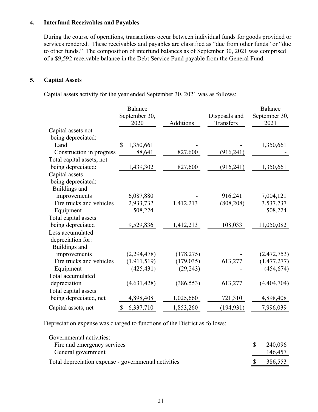#### **4. Interfund Receivables and Payables**

During the course of operations, transactions occur between individual funds for goods provided or services rendered. These receivables and payables are classified as "due from other funds" or "due to other funds." The composition of interfund balances as of September 30, 2021 was comprised of a \$9,592 receivable balance in the Debt Service Fund payable from the General Fund.

#### **5. Capital Assets**

Capital assets activity for the year ended September 30, 2021 was as follows:

|                           | Balance<br>September 30,<br>2020 | <b>Additions</b> | Disposals and<br>Transfers | Balance<br>September 30,<br>2021 |  |
|---------------------------|----------------------------------|------------------|----------------------------|----------------------------------|--|
| Capital assets not        |                                  |                  |                            |                                  |  |
| being depreciated:        |                                  |                  |                            |                                  |  |
| Land                      | 1,350,661<br>\$                  |                  |                            | 1,350,661                        |  |
| Construction in progress  | 88,641                           | 827,600          | (916, 241)                 |                                  |  |
| Total capital assets, not |                                  |                  |                            |                                  |  |
| being depreciated:        | 1,439,302                        | 827,600          | (916, 241)                 | 1,350,661                        |  |
| Capital assets            |                                  |                  |                            |                                  |  |
| being depreciated:        |                                  |                  |                            |                                  |  |
| Buildings and             |                                  |                  |                            |                                  |  |
| improvements              | 6,087,880                        |                  | 916,241                    | 7,004,121                        |  |
| Fire trucks and vehicles  | 2,933,732                        | 1,412,213        | (808, 208)                 | 3,537,737                        |  |
| Equipment                 | 508,224                          |                  |                            | 508,224                          |  |
| Total capital assets      |                                  |                  |                            |                                  |  |
| being depreciated         | 9,529,836                        | 1,412,213        | 108,033                    | 11,050,082                       |  |
| Less accumulated          |                                  |                  |                            |                                  |  |
| depreciation for:         |                                  |                  |                            |                                  |  |
| Buildings and             |                                  |                  |                            |                                  |  |
| improvements              | (2, 294, 478)                    | (178, 275)       |                            | (2,472,753)                      |  |
| Fire trucks and vehicles  | (1, 911, 519)                    | (179, 035)       | 613,277                    | (1,477,277)                      |  |
| Equipment                 | (425, 431)                       | (29, 243)        |                            | (454, 674)                       |  |
| Total accumulated         |                                  |                  |                            |                                  |  |
| depreciation              | (4,631,428)                      | (386, 553)       | 613,277                    | (4,404,704)                      |  |
| Total capital assets      |                                  |                  |                            |                                  |  |
| being depreciated, net    | 4,898,408                        | 1,025,660        | 721,310                    | 4,898,408                        |  |
| Capital assets, net       | 6,337,710<br>\$                  | 1,853,260        | (194, 931)                 | 7,996,039                        |  |

Depreciation expense was charged to functions of the District as follows:

| Governmental activities:                             |         |
|------------------------------------------------------|---------|
| Fire and emergency services                          | 240,096 |
| General government                                   | 146,457 |
| Total depreciation expense - governmental activities | 386,553 |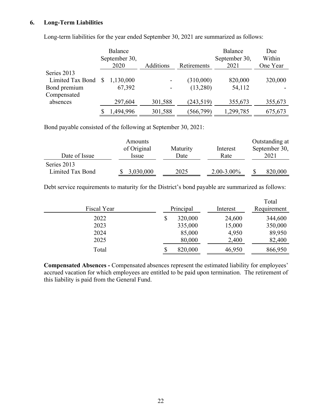## **6. Long-Term Liabilities**

|                  | Balance<br>September 30, |           |             | Balance<br>September 30, | Due<br>Within |
|------------------|--------------------------|-----------|-------------|--------------------------|---------------|
|                  | 2020                     | Additions | Retirements | 2021                     | One Year      |
| Series 2013      |                          |           |             |                          |               |
| Limited Tax Bond | 1,130,000                |           | (310,000)   | 820,000                  | 320,000       |
| Bond premium     | 67,392                   |           | (13,280)    | 54,112                   |               |
| Compensated      |                          |           |             |                          |               |
| absences         | 297,604                  | 301,588   | (243,519)   | 355,673                  | 355,673       |
|                  | 1,494,996                | 301,588   | (566, 799)  | 1,299,785                | 675,673       |

Long-term liabilities for the year ended September 30, 2021 are summarized as follows:

Bond payable consisted of the following at September 30, 2021:

|                  | Amounts<br>of Original<br>Maturity<br>Interest |      |                 |                       |  |  |
|------------------|------------------------------------------------|------|-----------------|-----------------------|--|--|
| Date of Issue    | Issue                                          | Date | Rate            | September 30,<br>2021 |  |  |
| Series 2013      |                                                |      |                 |                       |  |  |
| Limited Tax Bond | 3,030,000                                      | 2025 | $2.00 - 3.00\%$ | 820,000               |  |  |

Debt service requirements to maturity for the District's bond payable are summarized as follows:

| Fiscal Year | Principal     | Interest | Total<br>Requirement |
|-------------|---------------|----------|----------------------|
| 2022        | \$<br>320,000 | 24,600   | 344,600              |
| 2023        | 335,000       | 15,000   | 350,000              |
| 2024        | 85,000        | 4,950    | 89,950               |
| 2025        | 80,000        | 2,400    | 82,400               |
| Total       | 820,000       | 46,950   | 866,950              |

**Compensated Absences -** Compensated absences represent the estimated liability for employees' accrued vacation for which employees are entitled to be paid upon termination. The retirement of this liability is paid from the General Fund.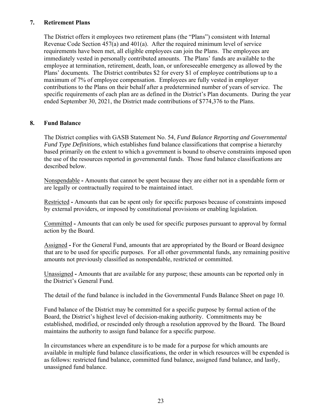## **7. Retirement Plans**

The District offers it employees two retirement plans (the "Plans") consistent with Internal Revenue Code Section 457(a) and 401(a). After the required minimum level of service requirements have been met, all eligible employees can join the Plans. The employees are immediately vested in personally contributed amounts. The Plans' funds are available to the employee at termination, retirement, death, loan, or unforeseeable emergency as allowed by the Plans' documents. The District contributes \$2 for every \$1 of employee contributions up to a maximum of 7% of employee compensation. Employees are fully vested in employer contributions to the Plans on their behalf after a predetermined number of years of service. The specific requirements of each plan are as defined in the District's Plan documents. During the year ended September 30, 2021, the District made contributions of \$774,376 to the Plans.

### **8. Fund Balance**

The District complies with GASB Statement No. 54, *Fund Balance Reporting and Governmental Fund Type Definitions*, which establishes fund balance classifications that comprise a hierarchy based primarily on the extent to which a government is bound to observe constraints imposed upon the use of the resources reported in governmental funds. Those fund balance classifications are described below.

Nonspendable **-** Amounts that cannot be spent because they are either not in a spendable form or are legally or contractually required to be maintained intact.

Restricted **-** Amounts that can be spent only for specific purposes because of constraints imposed by external providers, or imposed by constitutional provisions or enabling legislation.

Committed **-** Amounts that can only be used for specific purposes pursuant to approval by formal action by the Board.

Assigned **-** For the General Fund, amounts that are appropriated by the Board or Board designee that are to be used for specific purposes. For all other governmental funds, any remaining positive amounts not previously classified as nonspendable, restricted or committed.

Unassigned **-** Amounts that are available for any purpose; these amounts can be reported only in the District's General Fund.

The detail of the fund balance is included in the Governmental Funds Balance Sheet on page 10.

Fund balance of the District may be committed for a specific purpose by formal action of the Board, the District's highest level of decision-making authority. Commitments may be established, modified, or rescinded only through a resolution approved by the Board. The Board maintains the authority to assign fund balance for a specific purpose.

In circumstances where an expenditure is to be made for a purpose for which amounts are available in multiple fund balance classifications, the order in which resources will be expended is as follows: restricted fund balance, committed fund balance, assigned fund balance, and lastly, unassigned fund balance.